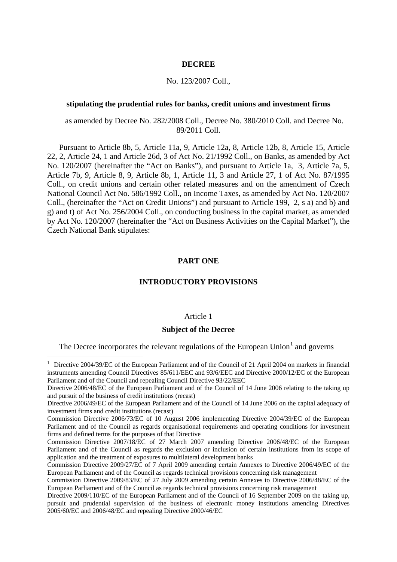## **DECREE**

## No. 123/2007 Coll.,

## **stipulating the prudential rules for banks, credit unions and investment firms**

as amended by Decree No. 282/2008 Coll., Decree No. 380/2010 Coll. and Decree No. 89/2011 Coll.

Pursuant to Article 8b, 5, Article 11a, 9, Article 12a, 8, Article 12b, 8, Article 15, Article 22, 2, Article 24, 1 and Article 26d, 3 of Act No. 21/1992 Coll., on Banks, as amended by Act No. 120/2007 (hereinafter the "Act on Banks"), and pursuant to Article 1a, 3, Article 7a, 5, Article 7b, 9, Article 8, 9, Article 8b, 1, Article 11, 3 and Article 27, 1 of Act No. 87/1995 Coll., on credit unions and certain other related measures and on the amendment of Czech National Council Act No. 586/1992 Coll., on Income Taxes, as amended by Act No. 120/2007 Coll., (hereinafter the "Act on Credit Unions") and pursuant to Article 199, 2, s a) and b) and g) and t) of Act No. 256/2004 Coll., on conducting business in the capital market, as amended by Act No. 120/2007 (hereinafter the "Act on Business Activities on the Capital Market"), the Czech National Bank stipulates:

## **PART ONE**

## **INTRODUCTORY PROVISIONS**

#### Article 1

## **Subject of the Decree**

The Decree incorporates the relevant regulations of the European Union<sup>[1](#page-0-0)</sup> and governs

-

<span id="page-0-0"></span><sup>&</sup>lt;sup>1</sup> Directive 2004/39/EC of the European Parliament and of the Council of 21 April 2004 on markets in financial instruments amending Council Directives 85/611/EEC and 93/6/EEC and Directive 2000/12/EC of the European Parliament and of the Council and repealing Council Directive 93/22/EEC

Directive 2006/48/EC of the European Parliament and of the Council of 14 June 2006 relating to the taking up and pursuit of the business of credit institutions (recast)

Directive 2006/49/EC of the European Parliament and of the Council of 14 June 2006 on the capital adequacy of investment firms and credit institutions (recast)

Commission Directive 2006/73/EC of 10 August 2006 implementing Directive 2004/39/EC of the European Parliament and of the Council as regards organisational requirements and operating conditions for investment firms and defined terms for the purposes of that Directive

Commission Directive 2007/18/EC of 27 March 2007 amending Directive 2006/48/EC of the European Parliament and of the Council as regards the exclusion or inclusion of certain institutions from its scope of application and the treatment of exposures to multilateral development banks

Commission Directive 2009/27/EC of 7 April 2009 amending certain Annexes to Directive 2006/49/EC of the European Parliament and of the Council as regards technical provisions concerning risk management

Commission Directive 2009/83/EC of 27 July 2009 amending certain Annexes to Directive 2006/48/EC of the European Parliament and of the Council as regards technical provisions concerning risk management

Directive 2009/110/EC of the European Parliament and of the Council of 16 September 2009 on the taking up, pursuit and prudential supervision of the business of electronic money institutions amending Directives 2005/60/EC and 2006/48/EC and repealing Directive 2000/46/EC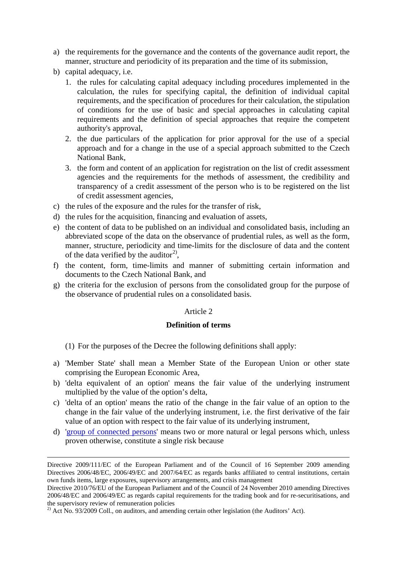- a) the requirements for the governance and the contents of the governance audit report, the manner, structure and periodicity of its preparation and the time of its submission,
- b) capital adequacy, i.e.
	- 1. the rules for calculating capital adequacy including procedures implemented in the calculation, the rules for specifying capital, the definition of individual capital requirements, and the specification of procedures for their calculation, the stipulation of conditions for the use of basic and special approaches in calculating capital requirements and the definition of special approaches that require the competent authority's approval,
	- 2. the due particulars of the application for prior approval for the use of a special approach and for a change in the use of a special approach submitted to the Czech National Bank,
	- 3. the form and content of an application for registration on the list of credit assessment agencies and the requirements for the methods of assessment, the credibility and transparency of a credit assessment of the person who is to be registered on the list of credit assessment agencies,
- c) the rules of the exposure and the rules for the transfer of risk,
- d) the rules for the acquisition, financing and evaluation of assets,
- e) the content of data to be published on an individual and consolidated basis, including an abbreviated scope of the data on the observance of prudential rules, as well as the form, manner, structure, periodicity and time-limits for the disclosure of data and the content of the data verified by the auditor<sup>[2\)](#page-1-0)</sup>,
- f) the content, form, time-limits and manner of submitting certain information and documents to the Czech National Bank, and
- g) the criteria for the exclusion of persons from the consolidated group for the purpose of the observance of prudential rules on a consolidated basis.

# Article 2

# **Definition of terms**

- (1) For the purposes of the Decree the following definitions shall apply:
- a) 'Member State' shall mean a Member State of the European Union or other state comprising the European Economic Area,
- b) 'delta equivalent of an option' means the fair value of the underlying instrument multiplied by the value of the option's delta,
- c) 'delta of an option' means the ratio of the change in the fair value of an option to the change in the fair value of the underlying instrument, i.e. the first derivative of the fair value of an option with respect to the fair value of its underlying instrument,
- d) ['group of connected persons'](http://www.cnb.cz/en/legislation/provisions_and_official_information/v_2007_17_22207530_en.pdf) means two or more natural or legal persons which, unless proven otherwise, constitute a single risk because

Directive 2009/111/EC of the European Parliament and of the Council of 16 September 2009 amending Directives 2006/48/EC, 2006/49/EC and 2007/64/EC as regards banks affiliated to central institutions, certain own funds items, large exposures, supervisory arrangements, and crisis management

Directive 2010/76/EU of the European Parliament and of the Council of 24 November 2010 amending Directives 2006/48/EC and 2006/49/EC as regards capital requirements for the trading book and for re-securitisations, and the supervisory review of remuneration policies

<span id="page-1-0"></span><sup>&</sup>lt;sup>2)</sup> Act No. 93/2009 Coll., on auditors, and amending certain other legislation (the Auditors' Act).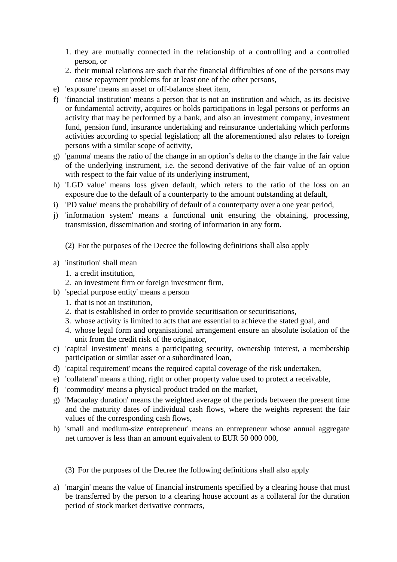- 1. they are mutually connected in the relationship of a controlling and a controlled person, or
- 2. their mutual relations are such that the financial difficulties of one of the persons may cause repayment problems for at least one of the other persons,
- e) 'exposure' means an asset or off-balance sheet item,
- f) 'financial institution' means a person that is not an institution and which, as its decisive or fundamental activity, acquires or holds participations in legal persons or performs an activity that may be performed by a bank, and also an investment company, investment fund, pension fund, insurance undertaking and reinsurance undertaking which performs activities according to special legislation; all the aforementioned also relates to foreign persons with a similar scope of activity,
- g) 'gamma' means the ratio of the change in an option's delta to the change in the fair value of the underlying instrument, i.e. the second derivative of the fair value of an option with respect to the fair value of its underlying instrument,
- h) 'LGD value' means loss given default, which refers to the ratio of the loss on an exposure due to the default of a counterparty to the amount outstanding at default,
- i) 'PD value' means the probability of default of a counterparty over a one year period,
- j) 'information system' means a functional unit ensuring the obtaining, processing, transmission, dissemination and storing of information in any form.

(2) For the purposes of the Decree the following definitions shall also apply

- a) 'institution' shall mean
	- 1. a credit institution,
	- 2. an investment firm or foreign investment firm,
- b) 'special purpose entity' means a person
	- 1. that is not an institution,
	- 2. that is established in order to provide securitisation or securitisations,
	- 3. whose activity is limited to acts that are essential to achieve the stated goal, and
	- 4. whose legal form and organisational arrangement ensure an absolute isolation of the unit from the credit risk of the originator,
- c) 'capital investment' means a participating security, ownership interest, a membership participation or similar asset or a subordinated loan,
- d) 'capital requirement' means the required capital coverage of the risk undertaken,
- e) 'collateral' means a thing, right or other property value used to protect a receivable,
- f) 'commodity' means a physical product traded on the market,
- g) 'Macaulay duration' means the weighted average of the periods between the present time and the maturity dates of individual cash flows, where the weights represent the fair values of the corresponding cash flows,
- h) 'small and medium-size entrepreneur' means an entrepreneur whose annual aggregate net turnover is less than an amount equivalent to EUR 50 000 000,

(3) For the purposes of the Decree the following definitions shall also apply

a) 'margin' means the value of financial instruments specified by a clearing house that must be transferred by the person to a clearing house account as a collateral for the duration period of stock market derivative contracts,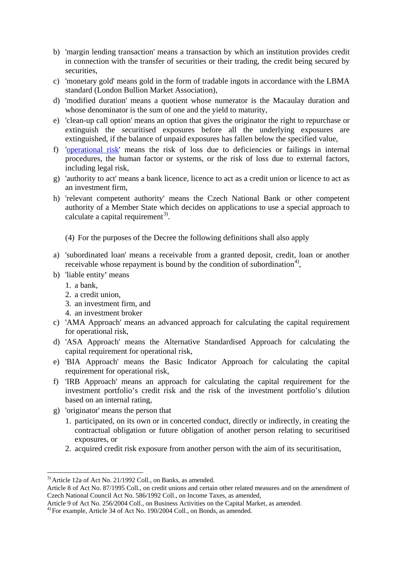- b) 'margin lending transaction' means a transaction by which an institution provides credit in connection with the transfer of securities or their trading, the credit being secured by securities,
- c) 'monetary gold' means gold in the form of tradable ingots in accordance with the LBMA standard (London Bullion Market Association),
- d) 'modified duration' means a quotient whose numerator is the Macaulay duration and whose denominator is the sum of one and the yield to maturity,
- e) 'clean-up call option' means an option that gives the originator the right to repurchase or extinguish the securitised exposures before all the underlying exposures are extinguished, if the balance of unpaid exposures has fallen below the specified value,
- f) ['operational risk'](http://www.cnb.cz/en/legislation/provisions_and_official_information/v_2007_17_22707530_en.pdf) means the risk of loss due to deficiencies or failings in internal procedures, the human factor or systems, or the risk of loss due to external factors, including legal risk,
- g) 'authority to act' means a bank licence, licence to act as a credit union or licence to act as an investment firm,
- h) 'relevant competent authority' means the Czech National Bank or other competent authority of a Member State which decides on applications to use a special approach to calculate a capital requirement<sup>[3](#page-3-0))</sup>.
	- (4) For the purposes of the Decree the following definitions shall also apply
- a) 'subordinated loan' means a receivable from a granted deposit, credit, loan or another receivable whose repayment is bound by the condition of subordination<sup>[4\)](#page-3-1)</sup>,
- b) 'liable entity**'** means
	- 1. a bank,
	- 2. a credit union,
	- 3. an investment firm, and
	- 4. an investment broker
- c) 'AMA Approach' means an advanced approach for calculating the capital requirement for operational risk,
- d) 'ASA Approach' means the Alternative Standardised Approach for calculating the capital requirement for operational risk,
- e) 'BIA Approach' means the Basic Indicator Approach for calculating the capital requirement for operational risk,
- f) 'IRB Approach' means an approach for calculating the capital requirement for the investment portfolio's credit risk and the risk of the investment portfolio's dilution based on an internal rating,
- g) 'originator' means the person that
	- 1. participated, on its own or in concerted conduct, directly or indirectly, in creating the contractual obligation or future obligation of another person relating to securitised exposures, or
	- 2. acquired credit risk exposure from another person with the aim of its securitisation,

<span id="page-3-0"></span><sup>&</sup>lt;sup>3)</sup> Article 12a of Act No. 21/1992 Coll., on Banks, as amended.

Article 8 of Act No. 87/1995 Coll., on credit unions and certain other related measures and on the amendment of Czech National Council Act No. 586/1992 Coll., on Income Taxes, as amended,

Article 9 of Act No. 256/2004 Coll., on Business Activities on the Capital Market, as amended.<br><sup>4)</sup> For example, Article 34 of Act No. 190/2004 Coll., on Bonds, as amended.

<span id="page-3-1"></span>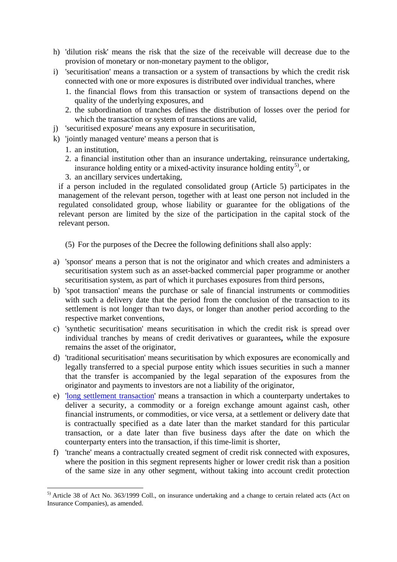- h) 'dilution risk' means the risk that the size of the receivable will decrease due to the provision of monetary or non-monetary payment to the obligor,
- i) 'securitisation' means a transaction or a system of transactions by which the credit risk connected with one or more exposures is distributed over individual tranches, where
	- 1. the financial flows from this transaction or system of transactions depend on the quality of the underlying exposures, and
	- 2. the subordination of tranches defines the distribution of losses over the period for which the transaction or system of transactions are valid,
- j) 'securitised exposure' means any exposure in securitisation,
- k) 'jointly managed venture' means a person that is
	- 1. an institution,
	- 2. a financial institution other than an insurance undertaking, reinsurance undertaking, insurance holding entity or a mixed-activity insurance holding entity<sup>[5\)](#page-4-0)</sup>, or
	- 3. an ancillary services undertaking,

if a person included in the regulated consolidated group (Article 5) participates in the management of the relevant person, together with at least one person not included in the regulated consolidated group, whose liability or guarantee for the obligations of the relevant person are limited by the size of the participation in the capital stock of the relevant person.

(5) For the purposes of the Decree the following definitions shall also apply:

- a) 'sponsor' means a person that is not the originator and which creates and administers a securitisation system such as an asset-backed commercial paper programme or another securitisation system, as part of which it purchases exposures from third persons,
- b) 'spot transaction' means the purchase or sale of financial instruments or commodities with such a delivery date that the period from the conclusion of the transaction to its settlement is not longer than two days, or longer than another period according to the respective market conventions,
- c) 'synthetic securitisation' means securitisation in which the credit risk is spread over individual tranches by means of credit derivatives or guarantees**,** while the exposure remains the asset of the originator,
- d) 'traditional securitisation' means securitisation by which exposures are economically and legally transferred to a special purpose entity which issues securities in such a manner that the transfer is accompanied by the legal separation of the exposures from the originator and payments to investors are not a liability of the originator,
- e) ['long settlement transaction'](http://www.cnb.cz/en/legislation/provisions_and_official_information/v_2007_19_23407530_en.pdf) means a transaction in which a counterparty undertakes to deliver a security, a commodity or a foreign exchange amount against cash, other financial instruments, or commodities, or vice versa, at a settlement or delivery date that is contractually specified as a date later than the market standard for this particular transaction, or a date later than five business days after the date on which the counterparty enters into the transaction, if this time-limit is shorter,
- f) 'tranche' means a contractually created segment of credit risk connected with exposures, where the position in this segment represents higher or lower credit risk than a position of the same size in any other segment, without taking into account credit protection

<span id="page-4-0"></span> <sup>5)</sup> Article 38 of Act No. 363/1999 Coll., on insurance undertaking and a change to certain related acts (Act on Insurance Companies), as amended.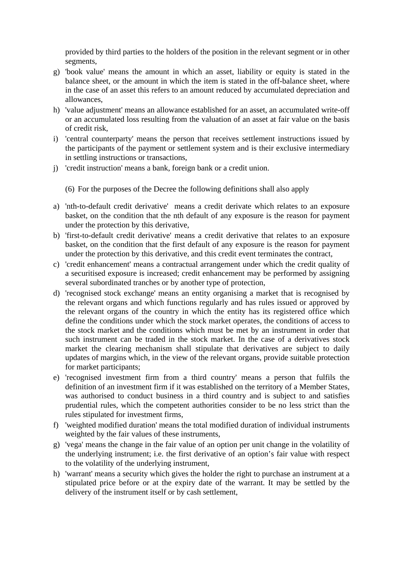provided by third parties to the holders of the position in the relevant segment or in other segments,

- g) 'book value' means the amount in which an asset, liability or equity is stated in the balance sheet, or the amount in which the item is stated in the off-balance sheet, where in the case of an asset this refers to an amount reduced by accumulated depreciation and allowances,
- h) 'value adjustment' means an allowance established for an asset, an accumulated write-off or an accumulated loss resulting from the valuation of an asset at fair value on the basis of credit risk,
- i) 'central counterparty' means the person that receives settlement instructions issued by the participants of the payment or settlement system and is their exclusive intermediary in settling instructions or transactions,
- j) 'credit instruction' means a bank, foreign bank or a credit union.
	- (6) For the purposes of the Decree the following definitions shall also apply
- a) 'nth-to-default credit derivative' means a credit derivate which relates to an exposure basket, on the condition that the nth default of any exposure is the reason for payment under the protection by this derivative,
- b) 'first-to-default credit derivative' means a credit derivative that relates to an exposure basket, on the condition that the first default of any exposure is the reason for payment under the protection by this derivative, and this credit event terminates the contract,
- c) 'credit enhancement' means a contractual arrangement under which the credit quality of a securitised exposure is increased; credit enhancement may be performed by assigning several subordinated tranches or by another type of protection,
- d) 'recognised stock exchange' means an entity organising a market that is recognised by the relevant organs and which functions regularly and has rules issued or approved by the relevant organs of the country in which the entity has its registered office which define the conditions under which the stock market operates, the conditions of access to the stock market and the conditions which must be met by an instrument in order that such instrument can be traded in the stock market. In the case of a derivatives stock market the clearing mechanism shall stipulate that derivatives are subject to daily updates of margins which, in the view of the relevant organs, provide suitable protection for market participants;
- e) 'recognised investment firm from a third country' means a person that fulfils the definition of an investment firm if it was established on the territory of a Member States, was authorised to conduct business in a third country and is subject to and satisfies prudential rules, which the competent authorities consider to be no less strict than the rules stipulated for investment firms,
- f) 'weighted modified duration' means the total modified duration of individual instruments weighted by the fair values of these instruments,
- g) 'vega' means the change in the fair value of an option per unit change in the volatility of the underlying instrument; i.e. the first derivative of an option's fair value with respect to the volatility of the underlying instrument,
- h) 'warrant' means a security which gives the holder the right to purchase an instrument at a stipulated price before or at the expiry date of the warrant. It may be settled by the delivery of the instrument itself or by cash settlement,